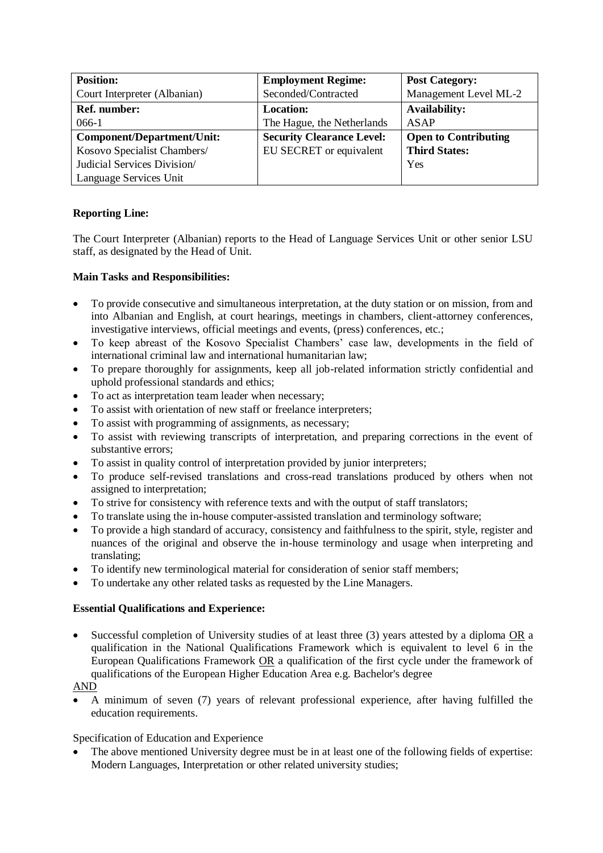| <b>Position:</b>                  | <b>Employment Regime:</b>        | <b>Post Category:</b>       |
|-----------------------------------|----------------------------------|-----------------------------|
| Court Interpreter (Albanian)      | Seconded/Contracted              | Management Level ML-2       |
| <b>Ref.</b> number:               | <b>Location:</b>                 | <b>Availability:</b>        |
| $066-1$                           | The Hague, the Netherlands       | <b>ASAP</b>                 |
| <b>Component/Department/Unit:</b> | <b>Security Clearance Level:</b> | <b>Open to Contributing</b> |
| Kosovo Specialist Chambers/       | EU SECRET or equivalent          | <b>Third States:</b>        |
| Judicial Services Division/       |                                  | Yes                         |
| Language Services Unit            |                                  |                             |

## **Reporting Line:**

The Court Interpreter (Albanian) reports to the Head of Language Services Unit or other senior LSU staff, as designated by the Head of Unit.

### **Main Tasks and Responsibilities:**

- To provide consecutive and simultaneous interpretation, at the duty station or on mission, from and into Albanian and English, at court hearings, meetings in chambers, client-attorney conferences, investigative interviews, official meetings and events, (press) conferences, etc.;
- To keep abreast of the Kosovo Specialist Chambers' case law, developments in the field of international criminal law and international humanitarian law;
- To prepare thoroughly for assignments, keep all job-related information strictly confidential and uphold professional standards and ethics;
- To act as interpretation team leader when necessary;
- To assist with orientation of new staff or freelance interpreters;
- To assist with programming of assignments, as necessary;
- To assist with reviewing transcripts of interpretation, and preparing corrections in the event of substantive errors;
- To assist in quality control of interpretation provided by junior interpreters;
- To produce self-revised translations and cross-read translations produced by others when not assigned to interpretation;
- To strive for consistency with reference texts and with the output of staff translators;
- To translate using the in-house computer-assisted translation and terminology software;
- To provide a high standard of accuracy, consistency and faithfulness to the spirit, style, register and nuances of the original and observe the in-house terminology and usage when interpreting and translating;
- To identify new terminological material for consideration of senior staff members;
- To undertake any other related tasks as requested by the Line Managers.

### **Essential Qualifications and Experience:**

• Successful completion of University studies of at least three (3) years attested by a diploma OR a qualification in the National Qualifications Framework which is equivalent to level 6 in the European Qualifications Framework OR a qualification of the first cycle under the framework of qualifications of the European Higher Education Area e.g. Bachelor's degree

# AND

• A minimum of seven (7) years of relevant professional experience, after having fulfilled the education requirements.

### Specification of Education and Experience

The above mentioned University degree must be in at least one of the following fields of expertise: Modern Languages, Interpretation or other related university studies;